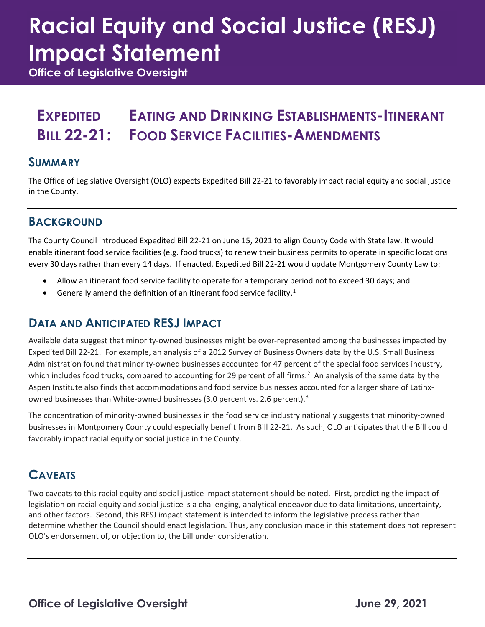# **Racial Equity and Social Justice (RESJ) Impact Statement**

**Office of Legislative Oversight**

#### **EXPEDITED BILL 22-21: EATING AND DRINKING ESTABLISHMENTS-ITINERANT FOOD SERVICE FACILITIES-AMENDMENTS**

#### **SUMMARY**

The Office of Legislative Oversight (OLO) expects Expedited Bill 22-21 to favorably impact racial equity and social justice in the County.

#### **BACKGROUND**

The County Council introduced Expedited Bill 22-21 on June 15, 2021 to align County Code with State law. It would enable itinerant food service facilities (e.g. food trucks) to renew their business permits to operate in specific locations every 30 days rather than every 14 days. If enacted, Expedited Bill 22-21 would update Montgomery County Law to:

- Allow an itinerant food service facility to operate for a temporary period not to exceed 30 days; and
- Generally amend the definition of an itinerant food service facility.<sup>[1](#page-1-0)</sup>

#### **DATA AND ANTICIPATED RESJ IMPACT**

Available data suggest that minority-owned businesses might be over-represented among the businesses impacted by Expedited Bill 22-21. For example, an analysis of a 2012 Survey of Business Owners data by the U.S. Small Business Administration found that minority-owned businesses accounted for 47 percent of the special food services industry, which includes food trucks, compared to accounting for [2](#page-1-1)9 percent of all firms.<sup>2</sup> An analysis of the same data by the Aspen Institute also finds that accommodations and food service businesses accounted for a larger share of Latinx-owned businesses than White-owned businesses ([3](#page-1-2).0 percent vs. 2.6 percent).<sup>3</sup>

The concentration of minority-owned businesses in the food service industry nationally suggests that minority-owned businesses in Montgomery County could especially benefit from Bill 22-21. As such, OLO anticipates that the Bill could favorably impact racial equity or social justice in the County.

### **CAVEATS**

Two caveats to this racial equity and social justice impact statement should be noted. First, predicting the impact of legislation on racial equity and social justice is a challenging, analytical endeavor due to data limitations, uncertainty, and other factors. Second, this RESJ impact statement is intended to inform the legislative process rather than determine whether the Council should enact legislation. Thus, any conclusion made in this statement does not represent OLO's endorsement of, or objection to, the bill under consideration.